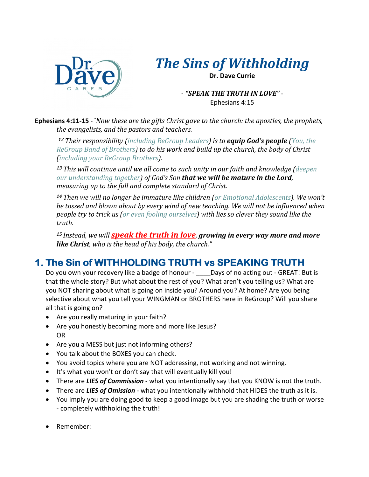

## *The Sins of Withholding*

**Dr. Dave Currie**

*- "SPEAK THE TRUTH IN LOVE"* - Ephesians 4:15

**Ephesians 4:11-15** - *"Now these are the gifts Christ gave to the church: the apostles, the prophets, the evangelists, and the pastors and teachers.* 

12 **Their responsibility** *(including ReGroup Leaders)* is to **equip God's people** *(You, the ReGroup Band of Brothers)* to do his work and build up the church, the body of Christ *(including your ReGroup Brothers).* 

<sup>13</sup> This will continue until we all come to such unity in our faith and knowledge (deepen *our understanding together)* of God's Son that we will be mature in the Lord, *measuring up to the full and complete standard of Christ.* 

14 Then we will no longer be immature like children (or *Emotional Adolescents*). We won't be tossed and blown about by every wind of new teaching. We will not be influenced when *people try to trick us (or even fooling ourselves)* with lies so clever they sound like the *truth.*

*15* Instead, we will **speak the truth in love**, growing in every way more and more **like Christ**, who is the head of his body, the church."

## **1. The Sin of WITHHOLDING TRUTH vs SPEAKING TRUTH**

Do you own your recovery like a badge of honour - \_\_\_\_ Days of no acting out - GREAT! But is that the whole story? But what about the rest of you? What aren't you telling us? What are you NOT sharing about what is going on inside you? Around you? At home? Are you being selective about what you tell your WINGMAN or BROTHERS here in ReGroup? Will you share all that is going on?

- Are you really maturing in your faith?
- Are you honestly becoming more and more like Jesus? OR
- Are you a MESS but just not informing others?
- You talk about the BOXES you can check.
- You avoid topics where you are NOT addressing, not working and not winning.
- It's what you won't or don't say that will eventually kill you!
- There are *LIES of Commission* what you intentionally say that you KNOW is not the truth.
- There are *LIES of Omission* what you intentionally withhold that HIDES the truth as it is.
- You imply you are doing good to keep a good image but you are shading the truth or worse - completely withholding the truth!
- Remember: